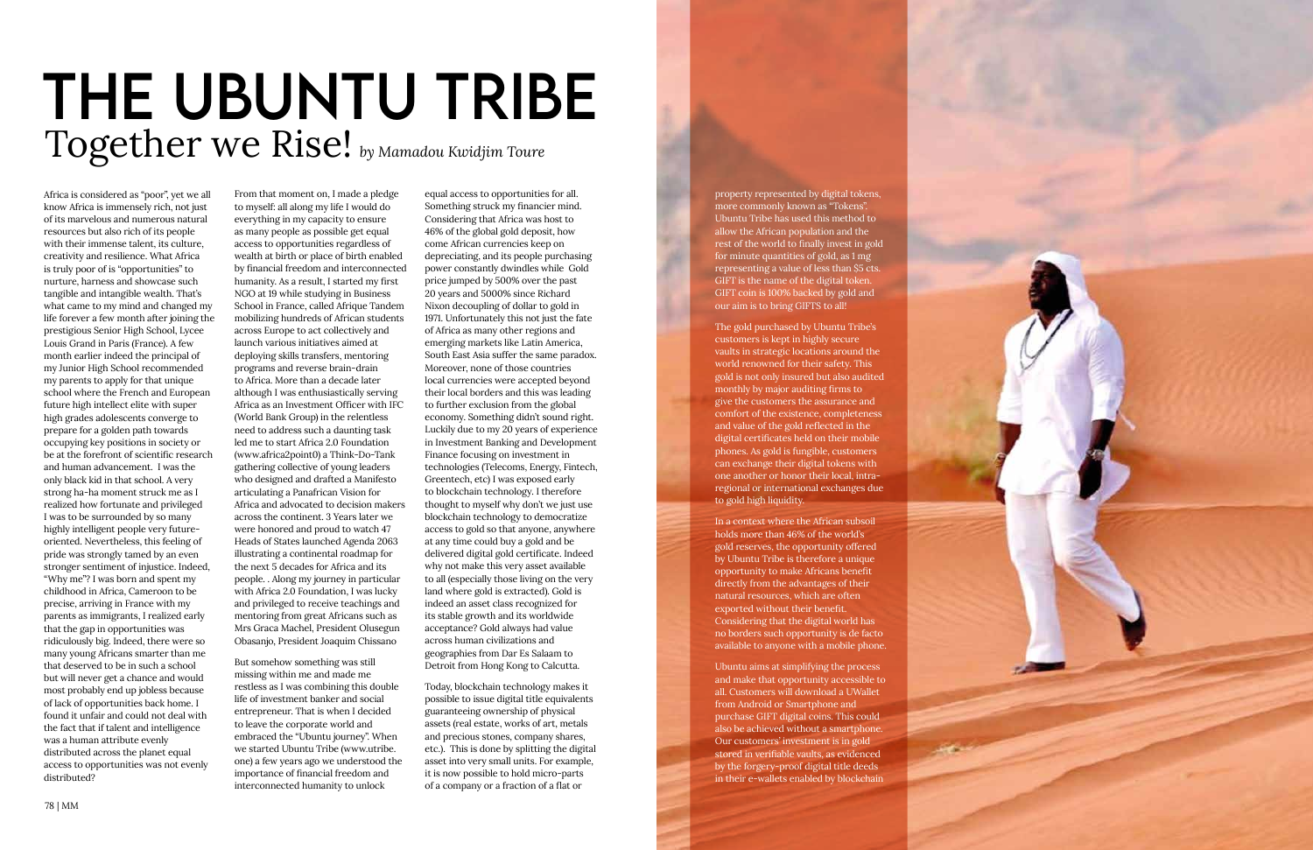

## **THE UBUNTU TRIBE**<br>Together we Rise! *by Mamadou Kwidjim Toure*

Africa is considered as "poor", yet we all know Africa is immensely rich, not just of its marvelous and numerous natural resources but also rich of its people with their immense talent, its culture, creativity and resilience. What Africa is truly poor of is "opportunities" to nurture, harness and showcase such tangible and intangible wealth. That's what came to my mind and changed my life forever a few month after joining the prestigious Senior High School, Lycee Louis Grand in Paris (France). A few month earlier indeed the principal of my Junior High School recommended my parents to apply for that unique school where the French and European future high intellect elite with super high grades adolescents converge to prepare for a golden path towards occupying key positions in society or be at the forefront of scientific research and human advancement. I was the only black kid in that school. A very strong ha-ha moment struck me as I realized how fortunate and privileged I was to be surrounded by so many highly intelligent people very futureoriented. Nevertheless, this feeling of pride was strongly tamed by an even stronger sentiment of injustice. Indeed, "Why me"? I was born and spent my childhood in Africa, Cameroon to be precise, arriving in France with my parents as immigrants, I realized early that the gap in opportunities was ridiculously big. Indeed, there were so many young Africans smarter than me that deserved to be in such a school but will never get a chance and would most probably end up jobless because of lack of opportunities back home. I found it unfair and could not deal with the fact that if talent and intelligence was a human attribute evenly distributed across the planet equal access to opportunities was not evenly distributed?

From that moment on, I made a pledge to myself: all along my life I would do everything in my capacity to ensure as many people as possible get equal access to opportunities regardless of wealth at birth or place of birth enabled by financial freedom and interconnected humanity. As a result, I started my first NGO at 19 while studying in Business School in France, called Afrique Tandem mobilizing hundreds of African students across Europe to act collectively and launch various initiatives aimed at deploying skills transfers, mentoring programs and reverse brain-drain to Africa. More than a decade later although I was enthusiastically serving Africa as an Investment Officer with IFC (World Bank Group) in the relentless need to address such a daunting task led me to start Africa 2.0 Foundation (www.africa2point0) a Think-Do-Tank gathering collective of young leaders who designed and drafted a Manifesto articulating a Panafrican Vision for Africa and advocated to decision makers across the continent. 3 Years later we were honored and proud to watch 47 Heads of States launched Agenda 2063 illustrating a continental roadmap for the next 5 decades for Africa and its people. . Along my journey in particular with Africa 2.0 Foundation, I was lucky and privileged to receive teachings and mentoring from great Africans such as Mrs Graca Machel, President Olusegun Obasanjo, President Joaquim Chissano

But somehow something was still missing within me and made me restless as I was combining this double life of investment banker and social entrepreneur. That is when I decided to leave the corporate world and embraced the "Ubuntu journey". When we started Ubuntu Tribe (www.utribe. one) a few years ago we understood the importance of financial freedom and interconnected humanity to unlock

equal access to opportunities for all. Something struck my financier mind. Considering that Africa was host to 46% of the global gold deposit, how come African currencies keep on depreciating, and its people purchasing power constantly dwindles while Gold price jumped by 500% over the past 20 years and 5000% since Richard Nixon decoupling of dollar to gold in 1971. Unfortunately this not just the fate of Africa as many other regions and emerging markets like Latin America, South East Asia suffer the same paradox. Moreover, none of those countries local currencies were accepted beyond their local borders and this was leading to further exclusion from the global economy. Something didn't sound right. Luckily due to my 20 years of experience in Investment Banking and Development Finance focusing on investment in technologies (Telecoms, Energy, Fintech, Greentech, etc) I was exposed early to blockchain technology. I therefore thought to myself why don't we just use blockchain technology to democratize access to gold so that anyone, anywhere at any time could buy a gold and be delivered digital gold certificate. Indeed why not make this very asset available to all (especially those living on the very land where gold is extracted). Gold is indeed an asset class recognized for its stable growth and its worldwide acceptance? Gold always had value across human civilizations and geographies from Dar Es Salaam to Detroit from Hong Kong to Calcutta.

Today, blockchain technology makes it possible to issue digital title equivalents guaranteeing ownership of physical assets (real estate, works of art, metals and precious stones, company shares, etc.). This is done by splitting the digital asset into very small units. For example, it is now possible to hold micro-parts of a company or a fraction of a flat or

property represented by digital tokens, more commonly known as "Tokens". Ubuntu Tribe has used this method to allow the African population and the rest of the world to finally invest in gold for minute quantities of gold, as 1 mg representing a value of less than \$5 cts. GIFT is the name of the digital token. GIFT coin is 100% backed by gold and our aim is to bring GIFTS to all!

The gold purchased by Ubuntu Tribe's customers is kept in highly secure vaults in strategic locations around the world renowned for their safety. This gold is not only insured but also audited monthly by major auditing firms to give the customers the assurance and comfort of the existence, completeness and value of the gold reflected in the digital certificates held on their mobile phones. As gold is fungible, customers can exchange their digital tokens with one another or honor their local, intraregional or international exchanges due to gold high liquidity.

In a context where the African subsoil holds more than 46% of the world's gold reserves, the opportunity offered by Ubuntu Tribe is therefore a unique opportunity to make Africans benefit directly from the advantages of their natural resources, which are often exported without their benefit. Considering that the digital world has no borders such opportunity is de facto available to anyone with a mobile phone.

Ubuntu aims at simplifying the process and make that opportunity accessible to all. Customers will download a UWallet from Android or Smartphone and purchase GIFT digital coins. This could also be achieved without a smartphone. Our customers' investment is in gold stored in verifiable vaults, as evidenced by the forgery-proof digital title deeds in their e-wallets enabled by blockchain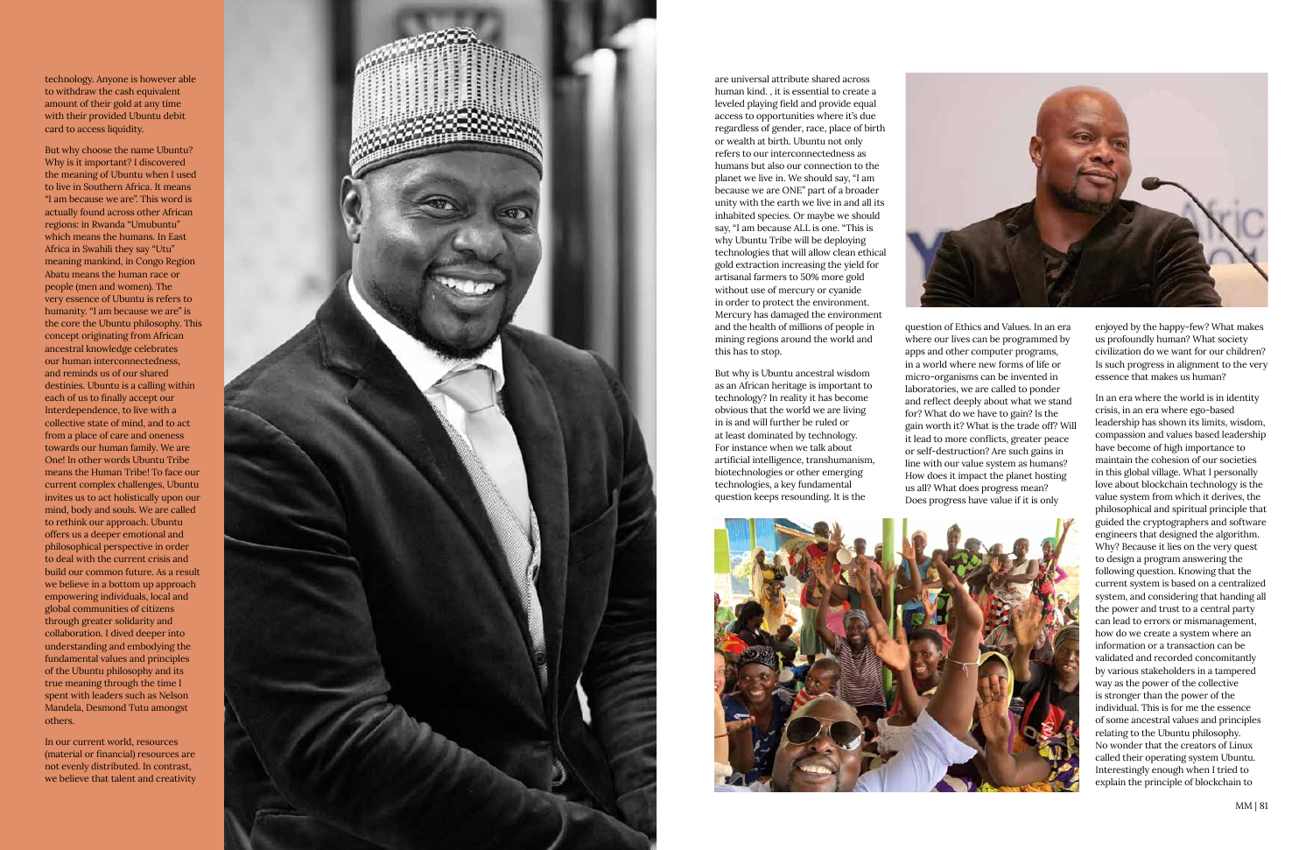

technology. Anyone is however able to withdraw the cash equivalent amount of their gold at any time with their provided Ubuntu debit card to access liquidity.

But why choose the name Ubuntu? Why is it important? I discovered the meaning of Ubuntu when I used to live in Southern Africa. It means "I am because we are". This word is actually found across other African regions: in Rwanda "Umubuntu" which means the humans. In East Africa in Swahili they say "Utu" meaning mankind, in Congo Region Abatu means the human race or people (men and women). The very essence of Ubuntu is refers to humanity. "I am because we are" is the core the Ubuntu philosophy. This concept originating from African ancestral knowledge celebrates our human interconnectedness, and reminds us of our shared destinies. Ubuntu is a calling within each of us to finally accept our Interdependence, to live with a collective state of mind, and to act from a place of care and oneness towards our human family. We are One! In other words Ubuntu Tribe means the Human Tribe! To face our current complex challenges, Ubuntu invites us to act holistically upon our mind, body and souls. We are called to rethink our approach. Ubuntu offers us a deeper emotional and philosophical perspective in order to deal with the current crisis and build our common future. As a result we believe in a bottom up approach empowering individuals, local and global communities of citizens through greater solidarity and collaboration. I dived deeper into understanding and embodying the fundamental values and principles of the Ubuntu philosophy and its true meaning through the time I spent with leaders such as Nelson Mandela, Desmond Tutu amongst others.

In our current world, resources (material or financial) resources are not evenly distributed. In contrast, we believe that talent and creativity

are universal attribute shared across

human kind. , it is essential to create a leveled playing field and provide equal access to opportunities where it's due regardless of gender, race, place of birth or wealth at birth. Ubuntu not only refers to our interconnectedness as humans but also our connection to the planet we live in. We should say, "I am because we are ONE" part of a broader unity with the earth we live in and all its inhabited species. Or maybe we should say, "I am because ALL is one. "This is why Ubuntu Tribe will be deploying technologies that will allow clean ethical gold extraction increasing the yield for artisanal farmers to 50% more gold without use of mercury or cyanide in order to protect the environment. Mercury has damaged the environment and the health of millions of people in mining regions around the world and this has to stop.

But why is Ubuntu ancestral wisdom as an African heritage is important to technology? In reality it has become obvious that the world we are living in is and will further be ruled or at least dominated by technology. For instance when we talk about artificial intelligence, transhumanism, biotechnologies or other emerging technologies, a key fundamental question keeps resounding. It is the



question of Ethics and Values. In an era where our lives can be programmed by apps and other computer programs, in a world where new forms of life or micro-organisms can be invented in laboratories, we are called to ponder and reflect deeply about what we stand for? What do we have to gain? Is the gain worth it? What is the trade off? Will it lead to more conflicts, greater peace or self-destruction? Are such gains in line with our value system as humans? How does it impact the planet hosting us all? What does progress mean? Does progress have value if it is only



enjoyed by the happy-few? What makes us profoundly human? What society civilization do we want for our children? Is such progress in alignment to the very essence that makes us human?

In an era where the world is in identity crisis, in an era where ego-based leadership has shown its limits, wisdom, compassion and values based leadership have become of high importance to maintain the cohesion of our societies in this global village. What I personally love about blockchain technology is the value system from which it derives, the philosophical and spiritual principle that guided the cryptographers and software engineers that designed the algorithm. Why? Because it lies on the very quest to design a program answering the following question. Knowing that the current system is based on a centralized system, and considering that handing all the power and trust to a central party can lead to errors or mismanagement, how do we create a system where an information or a transaction can be validated and recorded concomitantly by various stakeholders in a tampered way as the power of the collective is stronger than the power of the individual. This is for me the essence of some ancestral values and principles relating to the Ubuntu philosophy. No wonder that the creators of Linux called their operating system Ubuntu. Interestingly enough when I tried to explain the principle of blockchain to